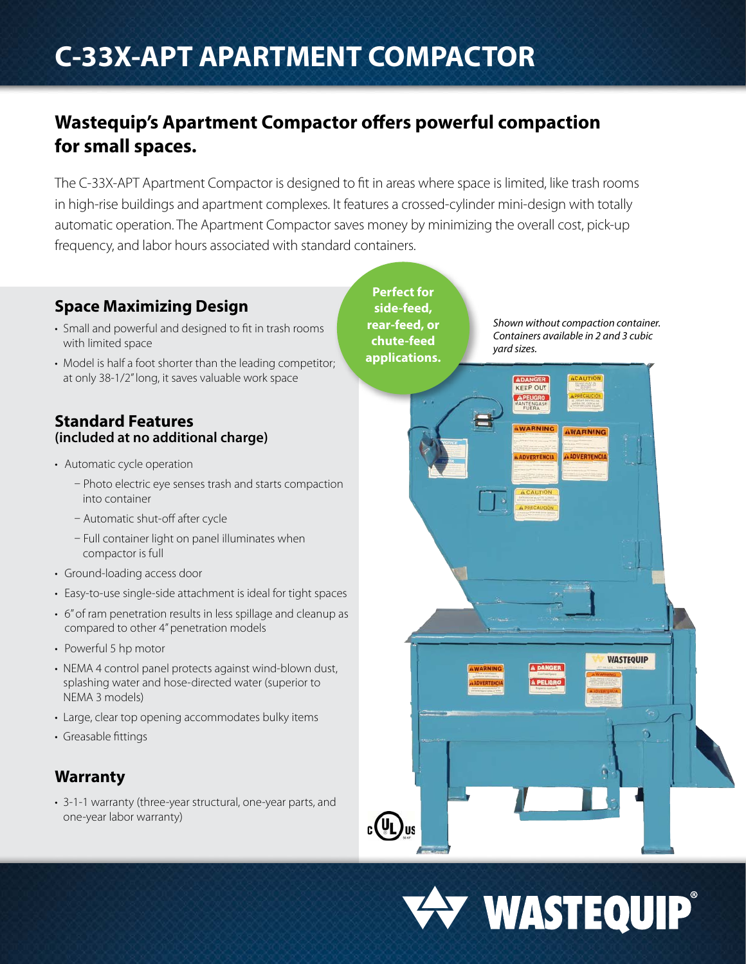# **C-33X-APT APARTMENT COMPACTOR**

## **Wastequip's Apartment Compactor offers powerful compaction for small spaces.**

The C-33X-APT Apartment Compactor is designed to fit in areas where space is limited, like trash rooms in high-rise buildings and apartment complexes. It features a crossed-cylinder mini-design with totally automatic operation. The Apartment Compactor saves money by minimizing the overall cost, pick-up frequency, and labor hours associated with standard containers.

## **Space Maximizing Design**

- Small and powerful and designed to fit in trash rooms with limited space
- Model is half a foot shorter than the leading competitor; at only 38-1/2" long, it saves valuable work space

### **Standard Features (included at no additional charge)**

- Automatic cycle operation
	- Photo electric eye senses trash and starts compaction into container
	- Automatic shut-off after cycle
	- Full container light on panel illuminates when compactor is full
- Ground-loading access door
- Easy-to-use single-side attachment is ideal for tight spaces
- 6" of ram penetration results in less spillage and cleanup as compared to other 4" penetration models
- Powerful 5 hp motor
- NEMA 4 control panel protects against wind-blown dust, splashing water and hose-directed water (superior to NEMA 3 models)
- Large, clear top opening accommodates bulky items
- Greasable fittings

### **Warranty**

• 3-1-1 warranty (three-year structural, one-year parts, and one-year labor warranty)

**Perfect for side-feed, rear-feed, or chute-feed applications.** 

 $_{c}$ (UL)<sub>us</sub>

*Shown without compaction container. Containers available in 2 and 3 cubic yard sizes.*

**AWARNING** 

**WASTEQUIP** 

**KEEP OUT**